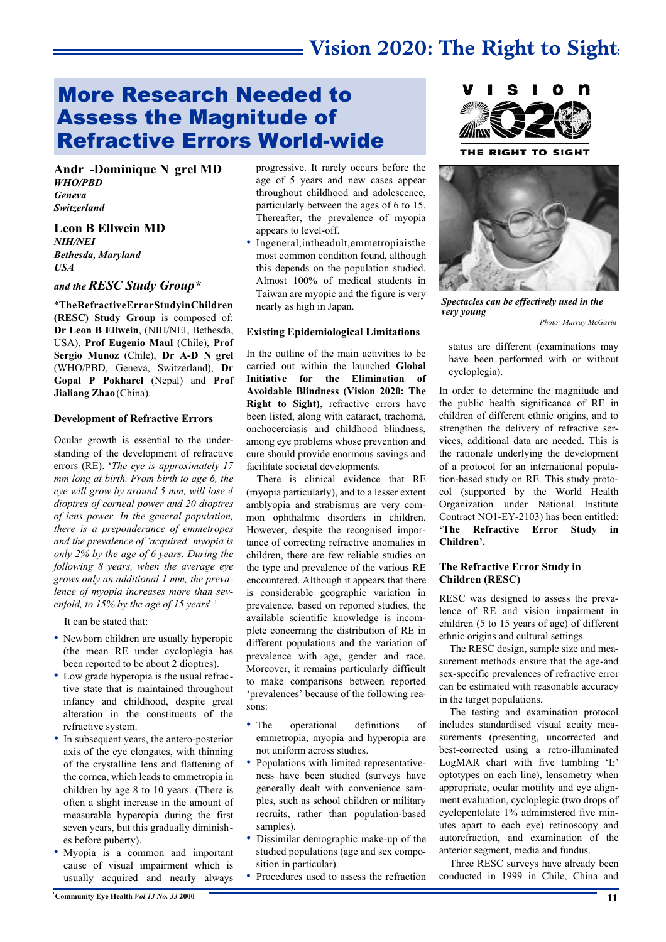# **Vision 2020: The Right to Sight**

### More Research Needed to Assess the Magnitude of Refractive Errors World-wide

Andr -Dominique N grel MD *WHO/PBD Geneva Switzerland*

**Leon B Ellwein MD** *NIH/NEI Bethesda, Maryland USA*

#### *and the RESC Study Group\**

\***TheRefractiveErrorStudyinChildren (RESC) Study Group** is composed of: **Dr Leon B Ellwein**, (NIH/NEI, Bethesda, USA), **Prof Eugenio Maul** (Chile), **Prof** Sergio Munoz (Chile), Dr A-D N grel (WHO/PBD, Geneva, Switzerland), **Dr Gopal P Pokharel** (Nepal) and **Prof Jialiang Zhao** (China).

#### **Development of Refractive Errors**

Ocular growth is essential to the understanding of the development of refractive errors (RE). '*The eye is approximately 17 mm long at birth. From birth to age 6, the eye will grow by around 5 mm, will lose 4 dioptres of corneal power and 20 dioptres of lens power. In the general population, there is a preponderance of emmetropes and the prevalence of 'acquired' myopia is only 2% by the age of 6 years. During the following 8 years, when the average eye grows only an additional 1 mm, the prevalence of myopia increases more than sevenfold, to 15% by the age of 15 years*' 1

It can be stated that:

- Newborn children are usually hyperopic (the mean RE under cycloplegia has been reported to be about 2 dioptres).
- Low grade hyperopia is the usual refractive state that is maintained throughout infancy and childhood, despite great alteration in the constituents of the refractive system.
- In subsequent years, the antero-posterior axis of the eye elongates, with thinning of the crystalline lens and flattening of the cornea, which leads to emmetropia in children by age 8 to 10 years. (There is often a slight increase in the amount of measurable hyperopia during the first seven years, but this gradually diminishes before puberty).
- Myopia is a common and important cause of visual impairment which is usually acquired and nearly always

progressive. It rarely occurs before the age of 5 years and new cases appear throughout childhood and adolescence, particularly between the ages of 6 to 15. Thereafter, the prevalence of myopia appears to level-off.

• Ingeneral,intheadult,emmetropiaisthe most common condition found, although this depends on the population studied. Almost 100% of medical students in Taiwan are myopic and the figure is very nearly as high in Japan.

#### **Existing Epidemiological Limitations**

In the outline of the main activities to be carried out within the launched **Global Initiative for the Elimination of Avoidable Blindness (Vision 2020: The Right to Sight)**, refractive errors have been listed, along with cataract, trachoma, onchocerciasis and childhood blindness, among eye problems whose prevention and cure should provide enormous savings and facilitate societal developments.

There is clinical evidence that RE (myopia particularly), and to a lesser extent amblyopia and strabismus are very common ophthalmic disorders in children. However, despite the recognised importance of correcting refractive anomalies in children, there are few reliable studies on the type and prevalence of the various RE encountered. Although it appears that there is considerable geographic variation in prevalence, based on reported studies, the available scientific knowledge is incomplete concerning the distribution of RE in different populations and the variation of prevalence with age, gender and race. Moreover, it remains particularly difficult to make comparisons between reported 'prevalences' because of the following reasons:

- The operational definitions of emmetropia, myopia and hyperopia are not uniform across studies.
- Populations with limited representativeness have been studied (surveys have generally dealt with convenience samples, such as school children or military recruits, rather than population-based samples).
- Dissimilar demographic make-up of the studied populations (age and sex composition in particular).
- Procedures used to assess the refraction



THE RIGHT TO SIGHT



*Spectacles can be effectively used in the very young Photo: Murray McGavin*

status are different (examinations may have been performed with or without cycloplegia).

In order to determine the magnitude and the public health significance of RE in children of different ethnic origins, and to strengthen the delivery of refractive services, additional data are needed. This is the rationale underlying the development of a protocol for an international population-based study on RE. This study protocol (supported by the World Health Organization under National Institute Contract NO1-EY-2103) has been entitled: **'The Refractive Error Study in Children'.**

#### **The Refractive Error Study in Children (RESC)**

RESC was designed to assess the prevalence of RE and vision impairment in children (5 to 15 years of age) of different ethnic origins and cultural settings.

The RESC design, sample size and measurement methods ensure that the age-and sex-specific prevalences of refractive error can be estimated with reasonable accuracy in the target populations.

The testing and examination protocol includes standardised visual acuity measurements (presenting, uncorrected and best-corrected using a retro-illuminated LogMAR chart with five tumbling 'E' optotypes on each line), lensometry when appropriate, ocular motility and eye alignment evaluation, cycloplegic (two drops of cyclopentolate 1% administered five minutes apart to each eye) retinoscopy and autorefraction, and examination of the anterior segment, media and fundus.

Three RESC surveys have already been conducted in 1999 in Chile, China and